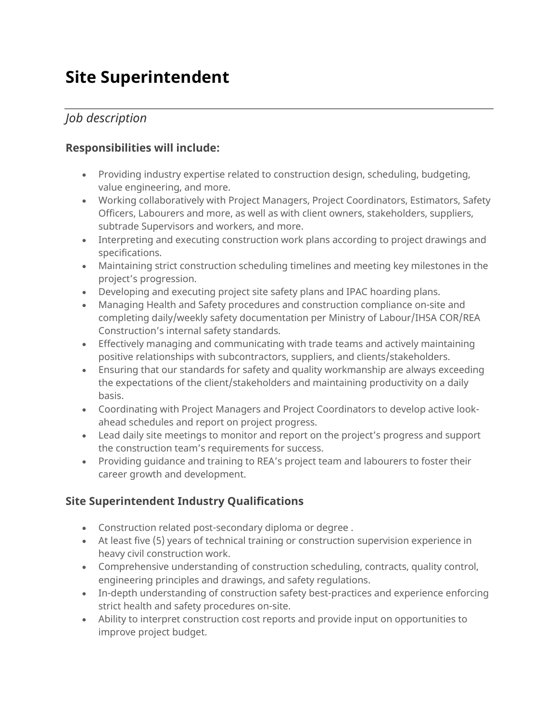# **Site Superintendent**

## *Job description*

#### **Responsibilities will include:**

- Providing industry expertise related to construction design, scheduling, budgeting, value engineering, and more.
- Working collaboratively with Project Managers, Project Coordinators, Estimators, Safety Officers, Labourers and more, as well as with client owners, stakeholders, suppliers, subtrade Supervisors and workers, and more.
- Interpreting and executing construction work plans according to project drawings and specifications.
- Maintaining strict construction scheduling timelines and meeting key milestones in the project's progression.
- Developing and executing project site safety plans and IPAC hoarding plans.
- Managing Health and Safety procedures and construction compliance on-site and completing daily/weekly safety documentation per Ministry of Labour/IHSA COR/REA Construction's internal safety standards.
- Effectively managing and communicating with trade teams and actively maintaining positive relationships with subcontractors, suppliers, and clients/stakeholders.
- Ensuring that our standards for safety and quality workmanship are always exceeding the expectations of the client/stakeholders and maintaining productivity on a daily basis.
- Coordinating with Project Managers and Project Coordinators to develop active lookahead schedules and report on project progress.
- Lead daily site meetings to monitor and report on the project's progress and support the construction team's requirements for success.
- Providing guidance and training to REA's project team and labourers to foster their career growth and development.

### **Site Superintendent Industry Qualifications**

- Construction related post-secondary diploma or degree .
- At least five (5) years of technical training or construction supervision experience in heavy civil construction work.
- Comprehensive understanding of construction scheduling, contracts, quality control, engineering principles and drawings, and safety regulations.
- In-depth understanding of construction safety best-practices and experience enforcing strict health and safety procedures on-site.
- Ability to interpret construction cost reports and provide input on opportunities to improve project budget.